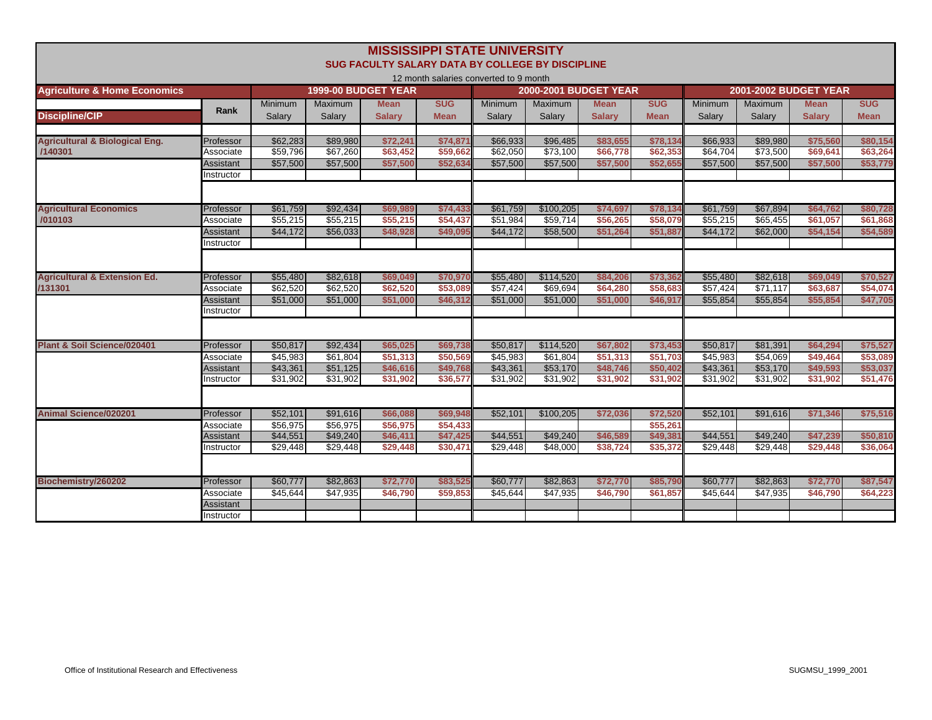|                                                      |                        |                      |                      | SUG FACULTY SALARY DATA BY COLLEGE BY DISCIPLINE | <b>MISSISSIPPI STATE UNIVERSITY</b>    |                      |                              |                      |                      |                      |                              |                      |                      |
|------------------------------------------------------|------------------------|----------------------|----------------------|--------------------------------------------------|----------------------------------------|----------------------|------------------------------|----------------------|----------------------|----------------------|------------------------------|----------------------|----------------------|
|                                                      |                        |                      |                      |                                                  | 12 month salaries converted to 9 month |                      |                              |                      |                      |                      |                              |                      |                      |
| <b>Agriculture &amp; Home Economics</b>              |                        |                      |                      | <b>1999-00 BUDGET YEAR</b>                       |                                        |                      | <b>2000-2001 BUDGET YEAR</b> |                      |                      |                      | <b>2001-2002 BUDGET YEAR</b> |                      |                      |
|                                                      | Rank                   | <b>Minimum</b>       | <b>Maximum</b>       | <b>Mean</b>                                      | <b>SUG</b>                             | <b>Minimum</b>       | Maximum                      | <b>Mean</b>          | <b>SUG</b>           | <b>Minimum</b>       | <b>Maximum</b>               | <b>Mean</b>          | <b>SUG</b>           |
| <b>Discipline/CIP</b>                                |                        | Salarv               | Salarv               | <b>Salarv</b>                                    | <b>Mean</b>                            | Salarv               | Salarv                       | <b>Salarv</b>        | <b>Mean</b>          | Salarv               | Salarv                       | <b>Salarv</b>        | <b>Mean</b>          |
|                                                      |                        |                      |                      |                                                  |                                        |                      |                              |                      |                      |                      |                              |                      |                      |
| <b>Agricultural &amp; Biological Eng.</b><br>/140301 | Professor<br>Associate | \$62,283<br>\$59,796 | \$89,980<br>\$67,260 | \$72,241<br>\$63,452                             | \$74,871<br>\$59,662                   | \$66,933<br>\$62,050 | \$96,485<br>\$73,100         | \$83,655<br>\$66,778 | \$78,134<br>\$62,353 | \$66,933<br>\$64,704 | \$89,980<br>\$73,500         | \$75,560<br>\$69,641 | \$80,154<br>\$63,264 |
|                                                      | Assistant              | \$57,500             | \$57,500             | \$57,500                                         | \$52,634                               | \$57,500             | \$57,500                     | \$57,500             | \$52,655             | \$57,500             | \$57,500                     | \$57,500             | \$53,779             |
|                                                      | Instructor             |                      |                      |                                                  |                                        |                      |                              |                      |                      |                      |                              |                      |                      |
|                                                      |                        |                      |                      |                                                  |                                        |                      |                              |                      |                      |                      |                              |                      |                      |
| <b>Agricultural Economics</b>                        | Professor              | \$61,759             | \$92,434             | \$69,989                                         | \$74,433                               | \$61,759             | \$100,205                    | \$74,697             | \$78,134             | \$61,759             | \$67,894                     | \$64,762             | \$80,728             |
| /010103                                              | Associate              | \$55,215             | \$55,215             | \$55,215                                         | \$54,437                               | \$51,984             | \$59,714                     | \$56,265             | \$58,079             | \$55,215             | \$65,455                     | \$61,057             | \$61,868             |
|                                                      | Assistant              | \$44,172             | \$56,033             | \$48,928                                         | \$49,095                               | \$44,172             | \$58,500                     | \$51,264             | \$51,887             | \$44,172             | \$62,000                     | \$54,154             | \$54,589             |
|                                                      | Instructor             |                      |                      |                                                  |                                        |                      |                              |                      |                      |                      |                              |                      |                      |
|                                                      |                        |                      |                      |                                                  |                                        |                      |                              |                      |                      |                      |                              |                      |                      |
| <b>Agricultural &amp; Extension Ed.</b>              | Professor              | \$55,480             | \$82,618             | \$69,049                                         | \$70,970                               | \$55,480             | \$114,520                    | \$84,206             | \$73,362             | \$55,480             | \$82,618                     | \$69,049             | \$70,527             |
| /131301                                              | Associate              | \$62,520             | \$62,520             | \$62,520                                         | \$53,089                               | \$57,424             | \$69.694                     | \$64,280             | \$58,683             | \$57,424             | \$71.117                     | \$63,687             | \$54,074             |
|                                                      | Assistant              | \$51,000             | \$51,000             | \$51,000                                         | \$46,312                               | \$51,000             | \$51,000                     | \$51,000             | \$46,917             | \$55,854             | \$55,854                     | \$55,854             | \$47,705             |
|                                                      | Instructor             |                      |                      |                                                  |                                        |                      |                              |                      |                      |                      |                              |                      |                      |
|                                                      |                        |                      |                      |                                                  |                                        |                      |                              |                      |                      |                      |                              |                      |                      |
| <b>Plant &amp; Soil Science/020401</b>               | Professor              | \$50,817             | \$92,434             | \$65,025                                         | \$69,738                               | \$50,817             | \$114,520                    | \$67,802             | \$73,453             | \$50,817             | \$81,391                     | \$64,294             | \$75,527             |
|                                                      | Associate              | \$45,983             | \$61,804             | \$51,313                                         | \$50,569                               | \$45,983             | \$61,804                     | \$51,313             | \$51,703             | \$45,983             | \$54,069                     | \$49,464             | \$53,089             |
|                                                      | <b>Assistant</b>       | \$43,361             | \$51,125             | \$46,616                                         | \$49,768                               | \$43,361             | \$53,170                     | \$48,746             | \$50,402             | \$43,361             | \$53,170                     | \$49,593             | \$53,037             |
|                                                      | Instructor             | \$31,902             | \$31,902             | \$31.902                                         | \$36,577                               | \$31,902             | \$31,902                     | \$31.902             | \$31,902             | \$31,902             | \$31,902                     | \$31,902             | \$51,476             |
|                                                      |                        |                      |                      |                                                  |                                        |                      |                              |                      |                      |                      |                              |                      |                      |
| <b>Animal Science/020201</b>                         | <b>Professor</b>       | \$52,101             | \$91,616             | \$66,088                                         | \$69,948                               | \$52,101             | \$100,205                    | \$72,036             | \$72,520             | \$52,101             | \$91,616                     | \$71,346             | \$75,516             |
|                                                      | Associate              | \$56,975             | \$56,975             | \$56,975                                         | \$54.433                               |                      |                              |                      | \$55,261             |                      |                              |                      |                      |
|                                                      | Assistant              | \$44,551             | \$49,240             | \$46,411                                         | \$47.425                               | \$44,551             | \$49,240                     | \$46,589             | \$49,381             | \$44,551             | \$49,240                     | \$47,239             | \$50,810             |
|                                                      | Instructor             | \$29,448             | \$29,448             | \$29,448                                         | \$30,471                               | \$29,448             | \$48,000                     | \$38,724             | \$35,372             | \$29,448             | \$29,448                     | \$29,448             | \$36,064             |
|                                                      |                        |                      |                      |                                                  |                                        |                      |                              |                      |                      |                      |                              |                      |                      |
| Biochemistry/260202                                  | Professor              | \$60,777             | \$82.863             | \$72,770                                         | \$83,525                               | \$60,777             | \$82,863                     | \$72,770             | \$85,790             | \$60,777             | \$82,863                     | \$72,770             | \$87,547             |
|                                                      | Associate              | \$45,644             | \$47,935             | \$46,790                                         | \$59,853                               | \$45,644             | \$47,935                     | \$46,790             | \$61,857             | \$45,644             | \$47,935                     | \$46,790             | \$64,223             |
|                                                      | Assistant              |                      |                      |                                                  |                                        |                      |                              |                      |                      |                      |                              |                      |                      |
|                                                      | Instructor             |                      |                      |                                                  |                                        |                      |                              |                      |                      |                      |                              |                      |                      |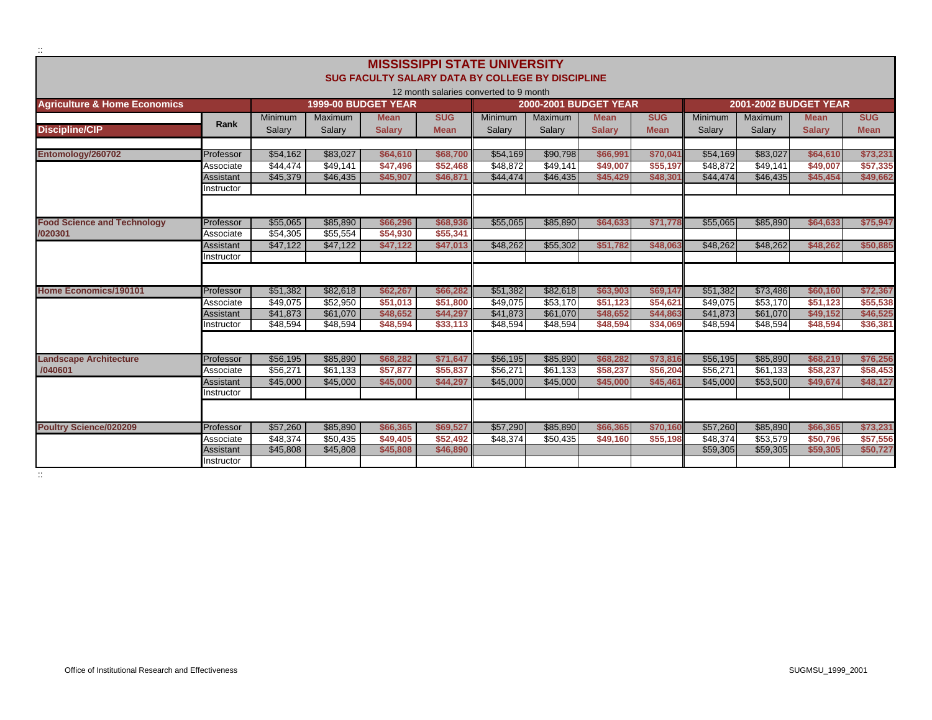|                                          |                         |                      |                      |                                                         |                      | <b>MISSISSIPPI STATE UNIVERSITY</b>    |                              |                      |                      |                      |                      |                              |                      |
|------------------------------------------|-------------------------|----------------------|----------------------|---------------------------------------------------------|----------------------|----------------------------------------|------------------------------|----------------------|----------------------|----------------------|----------------------|------------------------------|----------------------|
|                                          |                         |                      |                      | <b>SUG FACULTY SALARY DATA BY COLLEGE BY DISCIPLINE</b> |                      |                                        |                              |                      |                      |                      |                      |                              |                      |
|                                          |                         |                      |                      |                                                         |                      | 12 month salaries converted to 9 month |                              |                      |                      |                      |                      |                              |                      |
| <b>Agriculture &amp; Home Economics</b>  |                         |                      | 1999-00 BUDGET YEAR  |                                                         |                      |                                        | <b>2000-2001 BUDGET YEAR</b> |                      |                      |                      |                      | <b>2001-2002 BUDGET YEAR</b> |                      |
|                                          |                         | <b>Minimum</b>       | Maximum              | <b>Mean</b>                                             | <b>SUG</b>           | Minimum                                | <b>Maximum</b>               | <b>Mean</b>          | <b>SUG</b>           | <b>Minimum</b>       | <b>Maximum</b>       | <b>Mean</b>                  | <b>SUG</b>           |
| <b>Discipline/CIP</b>                    | <b>Rank</b>             | Salary               | Salary               | <b>Salary</b>                                           | <b>Mean</b>          | Salary                                 | Salary                       | <b>Salary</b>        | <b>Mean</b>          | Salary               | Salary               | <b>Salarv</b>                | <b>Mean</b>          |
|                                          |                         |                      |                      |                                                         |                      |                                        |                              |                      |                      |                      |                      |                              |                      |
| Entomology/260702                        | Professor               | \$54.162             | \$83.027             | \$64,610                                                | \$68,700             | \$54,169                               | \$90.798                     | \$66.991             | \$70.041             | \$54,169             | \$83.027             | \$64,610                     | \$73,231             |
|                                          | Associate               | \$44,474             | \$49.141             | \$47,496                                                | \$52.468             | \$48,872                               | \$49,141                     | \$49,007             | \$55,197             | \$48,872             | \$49,141             | \$49,007                     | \$57,335             |
|                                          | Assistant               | \$45,379             | \$46,435             | \$45,907                                                | \$46,871             | \$44,474                               | \$46,435                     | \$45,429             | \$48,301             | \$44,474             | \$46,435             | \$45,454                     | \$49,662             |
|                                          | Instructor              |                      |                      |                                                         |                      |                                        |                              |                      |                      |                      |                      |                              |                      |
|                                          |                         |                      |                      |                                                         |                      |                                        |                              |                      |                      |                      |                      |                              |                      |
|                                          |                         |                      |                      |                                                         |                      |                                        |                              |                      |                      |                      |                      |                              |                      |
| <b>Food Science and Technology</b>       | Professor               | \$55,065             | \$85,890             | \$66,296                                                | \$68,936             | \$55,065                               | \$85,890                     | \$64,633             | \$71,778             | \$55,065             | \$85,890             | \$64,633                     | \$75,947             |
| /020301                                  | Associate               | \$54,305<br>\$47,122 | \$55,554<br>\$47,122 | \$54,930<br>\$47,122                                    | \$55,341<br>\$47,013 | \$48,262                               | \$55,302                     | \$51.782             | \$48,063             | \$48,262             | \$48,262             | \$48,262                     | \$50,885             |
|                                          | Assistant<br>Instructor |                      |                      |                                                         |                      |                                        |                              |                      |                      |                      |                      |                              |                      |
|                                          |                         |                      |                      |                                                         |                      |                                        |                              |                      |                      |                      |                      |                              |                      |
|                                          |                         |                      |                      |                                                         |                      |                                        |                              |                      |                      |                      |                      |                              |                      |
| <b>Home Economics/190101</b>             | Professor               | \$51.382             | \$82,618             | \$62.267                                                | \$66,282             | \$51,382                               | \$82.618                     | \$63,903             | \$69,147             | \$51.382             | \$73,486             | \$60,160                     | \$72,367             |
|                                          | Associate               | \$49,075             | \$52,950             | \$51,013                                                | \$51,800             | \$49,075                               | \$53,170                     | \$51,123             | \$54,621             | \$49,075             | \$53,170             | \$51,123                     | \$55,538             |
|                                          | Assistant               | \$41,873             | \$61,070             | \$48,652                                                | \$44,297             | \$41,873                               | \$61,070                     | \$48,652             | \$44,863             | \$41,873             | \$61,070             | \$49,152                     | \$46,525             |
|                                          | Instructor              | \$48,594             | \$48,594             | \$48,594                                                | \$33,113             | \$48,594                               | \$48,594                     | \$48,594             | \$34,069             | \$48,594             | \$48,594             | \$48,594                     | \$36,381             |
|                                          |                         |                      |                      |                                                         |                      |                                        |                              |                      |                      |                      |                      |                              |                      |
|                                          |                         |                      |                      |                                                         |                      |                                        |                              |                      |                      |                      |                      |                              |                      |
| <b>Landscape Architecture</b><br>/040601 | Professor<br>Associate  | \$56,195<br>\$56,271 | \$85,890<br>\$61,133 | \$68,282<br>\$57,877                                    | \$71,647<br>\$55,837 | \$56,195<br>\$56,271                   | \$85,890<br>\$61,133         | \$68,282<br>\$58,237 | \$73,816<br>\$56,204 | \$56,195<br>\$56,271 | \$85,890<br>\$61,133 | \$68,219<br>\$58,237         | \$76,256<br>\$58,453 |
|                                          | Assistant               | \$45,000             | \$45,000             | \$45,000                                                | \$44,297             | \$45,000                               | \$45,000                     | \$45,000             | \$45,461             | \$45,000             | \$53,500             | \$49,674                     | \$48,127             |
|                                          | Instructor              |                      |                      |                                                         |                      |                                        |                              |                      |                      |                      |                      |                              |                      |
|                                          |                         |                      |                      |                                                         |                      |                                        |                              |                      |                      |                      |                      |                              |                      |
|                                          |                         |                      |                      |                                                         |                      |                                        |                              |                      |                      |                      |                      |                              |                      |
| <b>Poultry Science/020209</b>            | Professor               | \$57,260             | \$85,890             | \$66,365                                                | \$69,527             | \$57,290                               | \$85,890                     | \$66,365             | \$70,160             | \$57,260             | \$85,890             | \$66,365                     | \$73,231             |
|                                          | Associate               | \$48,374             | \$50,435             | \$49,405                                                | \$52.492             | \$48,374                               | \$50,435                     | \$49,160             | \$55,198             | \$48,374             | \$53,579             | \$50,796                     | \$57,556             |
|                                          | Assistant               | \$45,808             | \$45,808             | \$45,808                                                | \$46,890             |                                        |                              |                      |                      | \$59,305             | \$59,305             | \$59,305                     | \$50,727             |
|                                          | Instructor              |                      |                      |                                                         |                      |                                        |                              |                      |                      |                      |                      |                              |                      |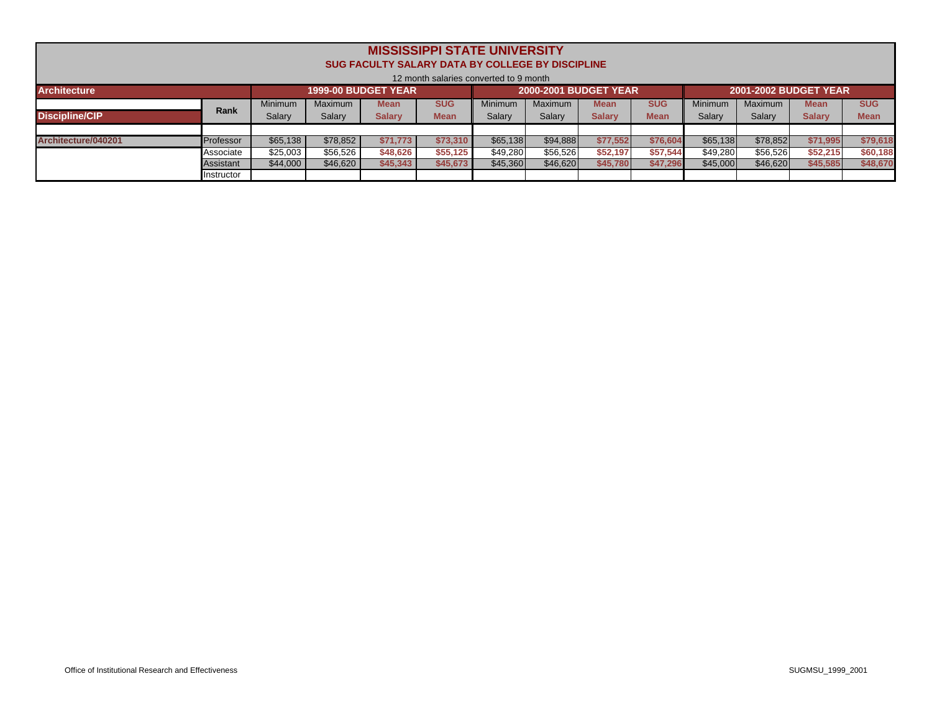| <b>MISSISSIPPI STATE UNIVERSITY</b><br><b>SUG FACULTY SALARY DATA BY COLLEGE BY DISCIPLINE</b><br>12 month salaries converted to 9 month |             |                |          |                            |             |          |                              |               |             |          |                              |               |             |
|------------------------------------------------------------------------------------------------------------------------------------------|-------------|----------------|----------|----------------------------|-------------|----------|------------------------------|---------------|-------------|----------|------------------------------|---------------|-------------|
| <b>Architecture</b>                                                                                                                      |             |                |          | <b>1999-00 BUDGET YEAR</b> |             |          | <b>2000-2001 BUDGET YEAR</b> |               |             |          | <b>2001-2002 BUDGET YEAR</b> |               |             |
|                                                                                                                                          | <b>Rank</b> | <b>Minimum</b> | Maximum  | Mean                       | <b>SUG</b>  | Minimum  | Maximum                      | Mean          | <b>SUG</b>  | Minimum  | Maximum                      | <b>Mean</b>   | <b>SUG</b>  |
| <b>Discipline/CIP</b>                                                                                                                    |             | Salary         | Salary   | <b>Salary</b>              | <b>Mean</b> | Salary   | Salary                       | <b>Salary</b> | <b>Mean</b> | Salary   | Salary                       | <b>Salary</b> | <b>Mean</b> |
|                                                                                                                                          |             |                |          |                            |             |          |                              |               |             |          |                              |               |             |
| Architecture/040201                                                                                                                      | Professor   | \$65,138       | \$78,852 | \$71,773                   | \$73,310    | \$65,138 | \$94,888                     | \$77,552      | \$76,604    | \$65.138 | \$78,852                     | \$71,995      | \$79,618    |
|                                                                                                                                          | Associate   | \$25,003       | \$56,526 | \$48,626                   | \$55,125    | \$49,280 | \$56,526                     | \$52,197      | \$57,544    | \$49,280 | \$56,526                     | \$52,215      | \$60,188    |
|                                                                                                                                          | Assistant   | \$44,000       | \$46,620 | \$45,343                   | \$45,673    | \$45,360 | \$46,620                     | \$45,780      | \$47,296    | \$45,000 | \$46,620                     | \$45,585      | \$48,670    |
|                                                                                                                                          | Instructor  |                |          |                            |             |          |                              |               |             |          |                              |               |             |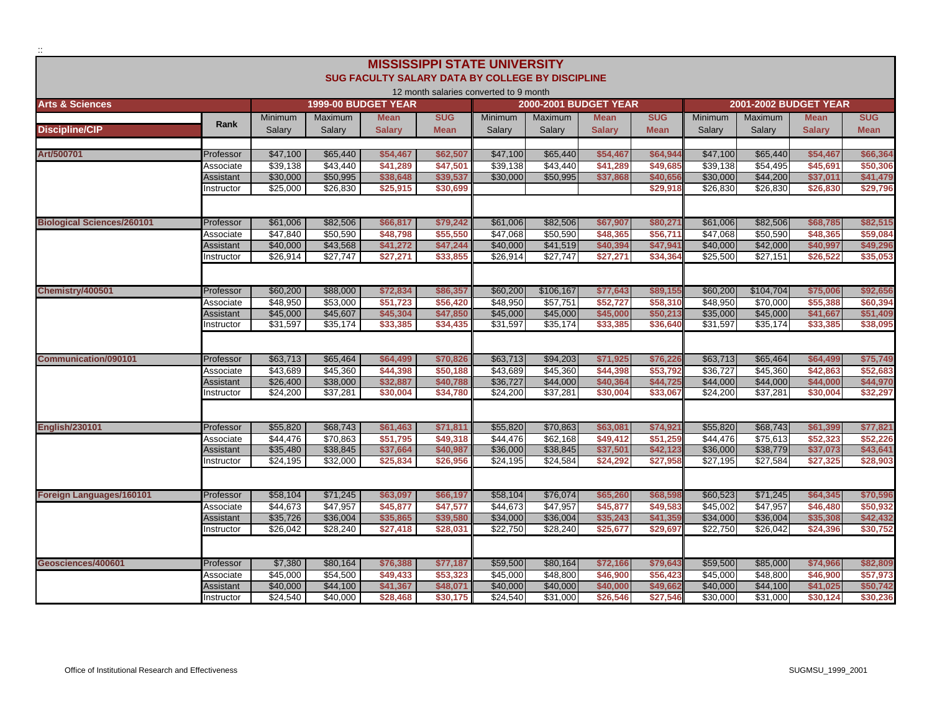|                                   |                                |                      |                            |                                                         |                      | <b>MISSISSIPPI STATE UNIVERSITY</b>    |                              |               |                     |                      |                                  |                       |                      |
|-----------------------------------|--------------------------------|----------------------|----------------------------|---------------------------------------------------------|----------------------|----------------------------------------|------------------------------|---------------|---------------------|----------------------|----------------------------------|-----------------------|----------------------|
|                                   |                                |                      |                            | <b>SUG FACULTY SALARY DATA BY COLLEGE BY DISCIPLINE</b> |                      |                                        |                              |               |                     |                      |                                  |                       |                      |
|                                   |                                |                      |                            |                                                         |                      | 12 month salaries converted to 9 month |                              |               |                     |                      |                                  |                       |                      |
| <b>Arts &amp; Sciences</b>        |                                |                      | <b>1999-00 BUDGET YEAR</b> |                                                         |                      |                                        | <b>2000-2001 BUDGET YEAR</b> |               |                     |                      |                                  | 2001-2002 BUDGET YEAR |                      |
|                                   | Rank                           | <b>Minimum</b>       | Maximum                    | <b>Mean</b>                                             | <b>SUG</b>           | Minimum                                | Maximum                      | <b>Mean</b>   | <b>SUG</b>          | Minimum              | Maximum                          | <b>Mean</b>           | <b>SUG</b>           |
| <b>Discipline/CIP</b>             |                                | Salarv               | Salarv                     | <b>Salarv</b>                                           | <b>Mean</b>          | Salarv                                 | Salarv                       | <b>Salarv</b> | <b>Mean</b>         | Salarv               | Salarv                           | <b>Salarv</b>         | <b>Mean</b>          |
|                                   |                                |                      |                            |                                                         |                      |                                        |                              |               |                     |                      |                                  |                       |                      |
| Art/500701                        | Professor                      | \$47,100             | \$65,440                   | \$54,467                                                | \$62,507             | \$47,100                               | \$65,440                     | \$54,467      | \$64,944            | \$47,100             | \$65,440                         | \$54,467              | \$66,364             |
|                                   | Associate                      | \$39,138<br>\$30,000 | \$43.440<br>\$50,995       | \$41.289                                                | \$47,501<br>\$39.537 | \$39,138                               | \$43,440<br>\$50,995         | \$41,289      | \$49,685<br>\$40,65 | \$39,138<br>\$30,000 | $\overline{$}54,495$<br>\$44,200 | \$45,691<br>\$37.011  | \$50,306<br>\$41,479 |
|                                   | <b>Assistant</b><br>Instructor | \$25,000             | \$26,830                   | \$38,648<br>\$25,915                                    | \$30,699             | \$30,000                               |                              | \$37,868      | \$29,918            | \$26,830             | \$26,830                         | \$26,830              | \$29,796             |
|                                   |                                |                      |                            |                                                         |                      |                                        |                              |               |                     |                      |                                  |                       |                      |
|                                   |                                |                      |                            |                                                         |                      |                                        |                              |               |                     |                      |                                  |                       |                      |
| <b>Biological Sciences/260101</b> | Professor                      | \$61,006             | \$82,506                   | \$66,817                                                | \$79.242             | \$61,006                               | \$82,506                     | \$67,907      | \$80,271            | \$61,006             | \$82,506                         | \$68,785              | \$82,515             |
|                                   | Associate                      | \$47,840             | \$50,590                   | \$48,798                                                | \$55,550             | \$47,068                               | \$50,590                     | \$48,365      | \$56,711            | \$47,068             | \$50,590                         | \$48,365              | \$59,084             |
|                                   | Assistant                      | \$40,000             | \$43,568                   | \$41,272                                                | \$47,244             | \$40,000                               | \$41,519                     | \$40,394      | \$47,941            | \$40,000             | \$42,000                         | \$40,997              | \$49,296             |
|                                   | Instructor                     | \$26,914             | \$27,747                   | \$27,271                                                | \$33,855             | \$26,914                               | \$27,747                     | \$27,271      | \$34,364            | \$25,500             | \$27,151                         | \$26,522              | \$35,053             |
|                                   |                                |                      |                            |                                                         |                      |                                        |                              |               |                     |                      |                                  |                       |                      |
| Chemistry/400501                  | Professor                      | \$60,200             | \$88,000                   | \$72,834                                                | \$86,357             | \$60,200                               | \$106,167                    | \$77,643      | \$89,155            | \$60,200             | \$104,704                        | \$75,006              | \$92,656             |
|                                   | Associate                      | \$48.950             | \$53.000                   | \$51.723                                                | \$56,420             | \$48,950                               | \$57.751                     | \$52.727      | \$58,310            | \$48.950             | \$70.000                         | \$55,388              | \$60,394             |
|                                   | Assistant                      | \$45,000             | \$45,607                   | \$45,304                                                | \$47,850             | \$45,000                               | \$45,000                     | \$45,000      | \$50,213            | \$35,000             | \$45,000                         | \$41,667              | \$51,409             |
|                                   | Instructor                     | \$31,597             | \$35,174                   | \$33,385                                                | \$34,435             | \$31,597                               | \$35,174                     | \$33,385      | \$36,640            | \$31,597             | \$35,174                         | \$33,385              | \$38,095             |
|                                   |                                |                      |                            |                                                         |                      |                                        |                              |               |                     |                      |                                  |                       |                      |
| <b>Communication/090101</b>       | Professor                      | \$63,713             | \$65,464                   | \$64,499                                                | \$70,826             | \$63,713                               | \$94,203                     | \$71,925      | \$76,226            | \$63,713             | \$65,464                         | \$64,499              | \$75,749             |
|                                   | Associate                      | \$43,689             | \$45,360                   | \$44,398                                                | \$50.188             | \$43,689                               | \$45,360                     | \$44,398      | \$53,792            | \$36,727             | \$45,360                         | \$42,863              | \$52,683             |
|                                   | Assistant                      | \$26,400             | \$38,000                   | \$32,887                                                | \$40,788             | \$36,727                               | \$44,000                     | \$40,364      | \$44,725            | \$44,000             | \$44,000                         | \$44,000              | \$44,970             |
|                                   | Instructor                     | \$24.200             | \$37,281                   | \$30,004                                                | \$34.780             | \$24,200                               | \$37.281                     | \$30,004      | \$33,067            | \$24,200             | \$37.281                         | \$30,004              | \$32.297             |
|                                   |                                |                      |                            |                                                         |                      |                                        |                              |               |                     |                      |                                  |                       |                      |
|                                   |                                |                      |                            |                                                         |                      |                                        |                              |               |                     |                      |                                  |                       |                      |
| <b>English/230101</b>             | Professor                      | \$55,820             | \$68,743                   | \$61,463                                                | \$71,811             | \$55,820                               | \$70,863                     | \$63,081      | \$74,921            | \$55,820             | \$68,743                         | \$61,399              | \$77,821             |
|                                   | Associate                      | \$44,476             | \$70.863                   | \$51.795                                                | \$49,318             | \$44.476                               | \$62,168                     | \$49.412      | \$51,259            | \$44,476             | \$75.613                         | \$52,323              | \$52,226             |
|                                   | Assistant                      | \$35,480             | \$38,845                   | \$37,664                                                | \$40,987             | \$36,000                               | \$38,845                     | \$37,501      | \$42,123            | \$36,000             | \$38,779                         | \$37,073              | \$43,641             |
|                                   | Instructor                     | \$24,195             | \$32,000                   | \$25,834                                                | \$26,956             | \$24,195                               | \$24,584                     | \$24,292      | \$27,958            | \$27,195             | \$27,584                         | \$27,325              | \$28,903             |
|                                   |                                |                      |                            |                                                         |                      |                                        |                              |               |                     |                      |                                  |                       |                      |
| Foreign Languages/160101          | Professor                      | \$58,104             | \$71,245                   | \$63,097                                                | \$66,197             | \$58,104                               | \$76,074                     | \$65,260      | \$68,598            | \$60,523             | \$71,245                         | \$64,345              | \$70,596             |
|                                   | Associate                      | \$44.673             | \$47.957                   | \$45,877                                                | \$47.577             | \$44,673                               | \$47,957                     | \$45,877      | \$49,583            | \$45.002             | \$47.957                         | \$46,480              | \$50.932             |
|                                   | Assistant                      | \$35,726             | \$36,004                   | \$35,865                                                | \$39,580             | \$34,000                               | \$36,004                     | \$35,243      | \$41,359            | \$34,000             | \$36,004                         | \$35,308              | \$42,432             |
|                                   | Instructor                     | \$26,042             | \$28,240                   | \$27,418                                                | \$28.031             | \$22,750                               | \$28,240                     | \$25,677      | \$29,697            | \$22,750             | \$26,042                         | \$24,396              | \$30,752             |
|                                   |                                |                      |                            |                                                         |                      |                                        |                              |               |                     |                      |                                  |                       |                      |
| Geosciences/400601                | Professor                      | \$7,380              | \$80,164                   | \$76,388                                                | \$77,187             | \$59,500                               | \$80,164                     | \$72,166      | \$79,643            | \$59,500             | \$85,000                         | \$74,966              | \$82,809             |
|                                   | Associate                      | \$45,000             | \$54,500                   | \$49,433                                                | \$53,323             | \$45,000                               | \$48,800                     | \$46,900      | \$56,423            | \$45,000             | \$48,800                         | \$46,900              | \$57,973             |
|                                   | Assistant                      | \$40,000             | \$44,100                   | \$41,367                                                | \$48,071             | \$40,000                               | \$40,000                     | \$40,000      | \$49,662            | \$40,000             | \$44,100                         | \$41,025              | \$50,742             |
|                                   | Instructor                     | \$24,540             | \$40,000                   | \$28,468                                                | \$30,175             | \$24,540                               | \$31,000                     | \$26,546      | \$27,546            | \$30,000             | \$31,000                         | \$30,124              | \$30,236             |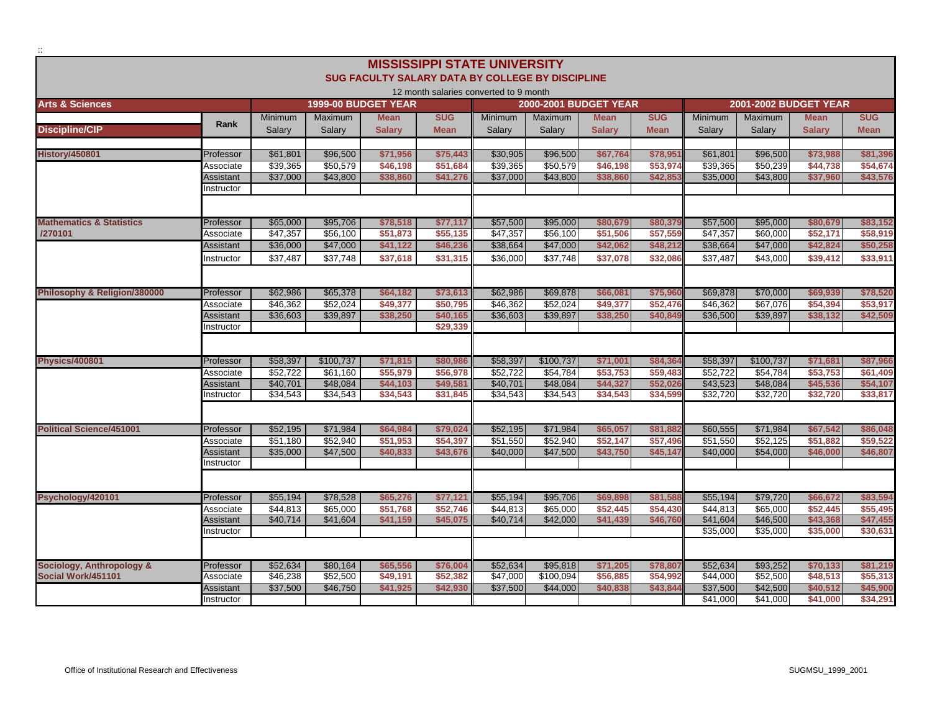|                                      |                        |                      |                      |                                                  | <b>MISSISSIPPI STATE UNIVERSITY</b>    |                      |                              |                      |                      |                      |                      |                              |                      |
|--------------------------------------|------------------------|----------------------|----------------------|--------------------------------------------------|----------------------------------------|----------------------|------------------------------|----------------------|----------------------|----------------------|----------------------|------------------------------|----------------------|
|                                      |                        |                      |                      | SUG FACULTY SALARY DATA BY COLLEGE BY DISCIPLINE |                                        |                      |                              |                      |                      |                      |                      |                              |                      |
|                                      |                        |                      |                      |                                                  | 12 month salaries converted to 9 month |                      |                              |                      |                      |                      |                      |                              |                      |
| <b>Arts &amp; Sciences</b>           |                        |                      |                      | 1999-00 BUDGET YEAR                              |                                        |                      | <b>2000-2001 BUDGET YEAR</b> |                      |                      |                      |                      | <b>2001-2002 BUDGET YEAR</b> |                      |
|                                      |                        | <b>Minimum</b>       | <b>Maximum</b>       | <b>Mean</b>                                      | <b>SUG</b>                             | Minimum              | <b>Maximum</b>               | <b>Mean</b>          | <b>SUG</b>           | <b>Minimum</b>       | <b>Maximum</b>       | <b>Mean</b>                  | <b>SUG</b>           |
| <b>Discipline/CIP</b>                | Rank                   | Salarv               | Salary               | <b>Salary</b>                                    | <b>Mean</b>                            | Salarv               | Salarv                       | <b>Salary</b>        | <b>Mean</b>          | Salary               | Salary               | <b>Salary</b>                | <b>Mean</b>          |
|                                      |                        |                      |                      |                                                  |                                        |                      |                              |                      |                      |                      |                      |                              |                      |
| <b>History/450801</b>                | Professor              | \$61,801<br>\$39.365 | \$96,500             | \$71,956<br>\$46.198                             | \$75,443<br>\$51.684                   | \$30,905             | \$96,500                     | \$67,764<br>\$46.198 | \$78,951<br>\$53,974 | \$61,801             | \$96,500<br>\$50.239 | \$73,988<br>\$44.738         | \$81,396<br>\$54,674 |
|                                      | Associate<br>Assistant | \$37,000             | \$50,579<br>\$43,800 | \$38,860                                         | \$41,276                               | \$39,365<br>\$37,000 | \$50,579<br>\$43,800         | \$38,860             | \$42,853             | \$39,365<br>\$35,000 | \$43,800             | \$37,960                     | \$43,576             |
|                                      | nstructor              |                      |                      |                                                  |                                        |                      |                              |                      |                      |                      |                      |                              |                      |
|                                      |                        |                      |                      |                                                  |                                        |                      |                              |                      |                      |                      |                      |                              |                      |
|                                      |                        |                      |                      |                                                  |                                        |                      |                              |                      |                      |                      |                      |                              |                      |
| <b>Mathematics &amp; Statistics</b>  | Professor              | \$65,000             | \$95,706             | \$78,518                                         | \$77,117                               | \$57,500             | \$95,000                     | \$80,679             | \$80,379             | \$57,500             | \$95,000             | \$80,679                     | \$83,152             |
| /270101                              | Associate              | \$47,357             | \$56,100             | \$51,873                                         | \$55,135                               | \$47,357             | \$56,100                     | \$51,506             | \$57,559             | \$47,357             | \$60,000             | \$52,171                     | \$58,919             |
|                                      | Assistant              | \$36,000             | \$47,000             | \$41,122                                         | \$46,236                               | \$38,664             | \$47,000                     | \$42,062             | \$48,212             | \$38,664             | \$47,000             | \$42,824                     | \$50,258             |
|                                      | Instructor             | \$37.487             | \$37,748             | \$37,618                                         | \$31,315                               | \$36,000             | \$37,748                     | \$37.078             | \$32,086             | \$37.487             | \$43,000             | \$39,412                     | \$33.911             |
|                                      |                        |                      |                      |                                                  |                                        |                      |                              |                      |                      |                      |                      |                              |                      |
| Philosophy & Religion/380000         | Professor              | \$62,986             | \$65,378             | \$64,182                                         | \$73,613                               | \$62,986             | \$69,878                     | \$66,081             | \$75,960             | \$69,878             | \$70,000             | \$69,939                     | \$78,520             |
|                                      | Associate              | \$46.362             | \$52,024             | \$49,377                                         | \$50,795                               | \$46,362             | \$52,024                     | \$49,377             | \$52,476             | \$46,362             | \$67,076             | \$54,394                     | \$53,917             |
|                                      | Assistant              | \$36,603             | \$39,897             | \$38,250                                         | \$40,165                               | \$36,603             | \$39,897                     | \$38,250             | \$40,849             | \$36,500             | \$39,897             | \$38,132                     | \$42,509             |
|                                      | Instructor             |                      |                      |                                                  | \$29,339                               |                      |                              |                      |                      |                      |                      |                              |                      |
|                                      |                        |                      |                      |                                                  |                                        |                      |                              |                      |                      |                      |                      |                              |                      |
| <b>Physics/400801</b>                | Professor              | \$58,397             | \$100,737            | \$71,815                                         | \$80,986                               | \$58,397             | \$100,737                    | \$71,001             | \$84,364             | \$58,397             | \$100,737            | \$71,681                     | \$87,966             |
|                                      | Associate              | \$52.722             | \$61.160             | \$55,979                                         | \$56.978                               | \$52.722             | \$54.784                     | \$53,753             | \$59,483             | \$52.722             | \$54.784             | \$53.753                     | \$61.409             |
|                                      | Assistant              | \$40,701             | \$48,084             | \$44,103                                         | \$49,581                               | \$40,701             | \$48,084                     | \$44,327             | \$52,026             | \$43,523             | \$48,084             | \$45,536                     | \$54,107             |
|                                      | Instructor             | \$34.543             | \$34,543             | \$34.543                                         | \$31,845                               | \$34,543             | \$34,543                     | \$34,543             | \$34,599             | \$32,720             | \$32,720             | \$32,720                     | \$33,817             |
|                                      |                        |                      |                      |                                                  |                                        |                      |                              |                      |                      |                      |                      |                              |                      |
| <b>Political Science/451001</b>      | Professor              | \$52,195             | \$71,984             | \$64,984                                         | \$79,024                               | \$52,195             | \$71,984                     | \$65,057             | \$81,882             | \$60,555             | \$71,984             | \$67,542                     | \$86,048             |
|                                      | Associate              | \$51,180             | \$52,940             | \$51,953                                         | \$54,397                               | \$51,550             | \$52,940                     | \$52,147             | \$57,496             | \$51,550             | \$52,125             | \$51,882                     | \$59,522             |
|                                      | Assistant              | \$35,000             | \$47,500             | \$40,833                                         | \$43,676                               | \$40,000             | \$47,500                     | \$43.750             | \$45,147             | \$40,000             | \$54,000             | \$46,000                     | \$46,807             |
|                                      | Instructor             |                      |                      |                                                  |                                        |                      |                              |                      |                      |                      |                      |                              |                      |
|                                      |                        |                      |                      |                                                  |                                        |                      |                              |                      |                      |                      |                      |                              |                      |
| Psychology/420101                    | Professor              | \$55,194             | \$78,528             | \$65,276                                         | \$77,121                               | \$55,194             | \$95,706                     | \$69,898             | \$81,588             | \$55,194             | \$79,720             | \$66,672                     | \$83,594             |
|                                      | Associate              | \$44.813             | \$65.000             | \$51.768                                         | \$52.746                               | \$44.813             | \$65,000                     | \$52.445             | \$54,430             | \$44.813             | \$65,000             | \$52.445                     | \$55,495             |
|                                      | Assistant              | \$40,714             | \$41,604             | \$41,159                                         | \$45,075                               | \$40,714             | \$42,000                     | \$41,439             | \$46,760             | \$41,604             | \$46,500             | \$43,368                     | \$47,455             |
|                                      | Instructor             |                      |                      |                                                  |                                        |                      |                              |                      |                      | \$35,000             | \$35,000             | \$35,000                     | \$30.631             |
|                                      |                        |                      |                      |                                                  |                                        |                      |                              |                      |                      |                      |                      |                              |                      |
| <b>Sociology, Anthropology &amp;</b> | Professor              | \$52,634             | \$80,164             | \$65,556                                         | \$76,004                               | \$52,634             | \$95,818                     | \$71,205             | \$78,807             | \$52,634             | \$93,252             | \$70,133                     | \$81,219             |
| Social Work/451101                   | Associate              | \$46,238             | \$52,500             | \$49,191                                         | \$52,382                               | \$47,000             | \$100,094                    | \$56,885             | \$54,992             | \$44,000             | \$52,500             | \$48,513                     | \$55,313             |
|                                      | Assistant              | \$37,500             | \$46,750             | \$41,925                                         | \$42,930                               | \$37,500             | \$44,000                     | \$40,838             | \$43,844             | \$37,500             | \$42,500             | \$40.512                     | \$45,900             |
|                                      | Instructor             |                      |                      |                                                  |                                        |                      |                              |                      |                      | \$41,000             | \$41,000             | \$41,000                     | \$34,291             |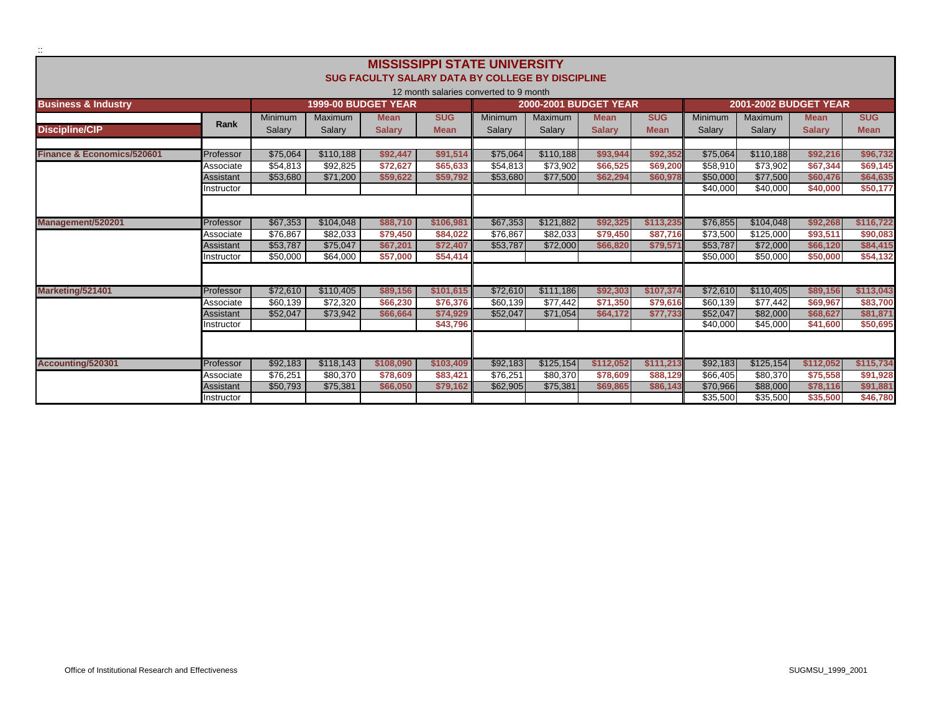|                                       |                        |                      |                      | <b>SUG FACULTY SALARY DATA BY COLLEGE BY DISCIPLINE</b> |                      | <b>MISSISSIPPI STATE UNIVERSITY</b>    |                              |                      |                      |                      |                              |                      |                      |
|---------------------------------------|------------------------|----------------------|----------------------|---------------------------------------------------------|----------------------|----------------------------------------|------------------------------|----------------------|----------------------|----------------------|------------------------------|----------------------|----------------------|
|                                       |                        |                      |                      |                                                         |                      | 12 month salaries converted to 9 month |                              |                      |                      |                      |                              |                      |                      |
| <b>Business &amp; Industry</b>        |                        |                      |                      | 1999-00 BUDGET YEAR                                     |                      |                                        | <b>2000-2001 BUDGET YEAR</b> |                      |                      |                      | <b>2001-2002 BUDGET YEAR</b> |                      |                      |
|                                       | Rank                   | <b>Minimum</b>       | Maximum              | <b>Mean</b>                                             | <b>SUG</b>           | <b>Minimum</b>                         | <b>Maximum</b>               | <b>Mean</b>          | <b>SUG</b>           | <b>Minimum</b>       | <b>Maximum</b>               | <b>Mean</b>          | <b>SUG</b>           |
| <b>Discipline/CIP</b>                 |                        | Salary               | Salary               | <b>Salary</b>                                           | <b>Mean</b>          | Salary                                 | Salarv                       | <b>Salary</b>        | <b>Mean</b>          | Salary               | Salary                       | <b>Salarv</b>        | <b>Mean</b>          |
|                                       |                        |                      |                      |                                                         |                      |                                        |                              |                      |                      |                      |                              |                      |                      |
| <b>Finance &amp; Economics/520601</b> | Professor              | \$75.064             | \$110.188            | \$92.447                                                | \$91.514             | \$75,064                               | \$110,188                    | \$93.944             | \$92,352             | \$75.064             | \$110.188                    | \$92.216             | \$96.732             |
|                                       | Associate<br>Assistant | \$54.813<br>\$53,680 | \$92.825<br>\$71,200 | \$72,627<br>\$59,622                                    | \$65,633<br>\$59,792 | \$54,813<br>\$53,680                   | \$73,902<br>\$77,500         | \$66,525<br>\$62.294 | \$69,200<br>\$60,978 | \$58,910<br>\$50,000 | \$73,902<br>\$77,500         | \$67.344<br>\$60,476 | \$69,145<br>\$64,635 |
|                                       | Instructor             |                      |                      |                                                         |                      |                                        |                              |                      |                      | \$40,000             | \$40,000                     | \$40,000             | \$50,177             |
|                                       |                        |                      |                      |                                                         |                      |                                        |                              |                      |                      |                      |                              |                      |                      |
|                                       |                        |                      |                      |                                                         |                      |                                        |                              |                      |                      |                      |                              |                      |                      |
| Management/520201                     | Professor              | \$67.353             | \$104.048            | \$88,710                                                | \$106,981            | \$67,353                               | \$121.882                    | \$92.325             | \$113,235            | \$76,855             | \$104.048                    | \$92.268             | \$116,722            |
|                                       | Associate              | \$76.867             | \$82.033             | \$79,450                                                | \$84.022             | \$76,867                               | \$82.033                     | \$79,450             | \$87,716             | \$73,500             | \$125,000                    | \$93.511             | \$90,083             |
|                                       | Assistant              | \$53,787             | \$75,047             | \$67,201                                                | \$72,407             | \$53,787                               | \$72,000                     | \$66,820             | \$79,571             | \$53,787             | \$72,000                     | \$66,120             | \$84,415             |
|                                       | Instructor             | \$50,000             | \$64,000             | \$57,000                                                | \$54,414             |                                        |                              |                      |                      | \$50,000             | \$50,000                     | \$50,000             | \$54,132             |
|                                       |                        |                      |                      |                                                         |                      |                                        |                              |                      |                      |                      |                              |                      |                      |
| Marketing/521401                      | Professor              | \$72,610             | \$110,405            | \$89,156                                                | \$101,615            | \$72,610                               | \$111,186                    | \$92,303             | \$107,374            | \$72,610             | \$110,405                    | \$89,156             | \$113,043            |
|                                       | Associate              | \$60.139             | \$72.320             | \$66,230                                                | \$76,376             | \$60.139                               | \$77,442                     | \$71,350             | \$79,616             | \$60.139             | \$77,442                     | \$69,967             | \$83,700             |
|                                       | Assistant              | \$52,047             | \$73,942             | \$66,664                                                | \$74.929             | \$52,047                               | \$71,054                     | \$64,172             | \$77,733             | \$52,047             | \$82,000                     | \$68,627             | \$81,871             |
|                                       | Instructor             |                      |                      |                                                         | \$43,796             |                                        |                              |                      |                      | \$40,000             | \$45,000                     | \$41,600             | \$50,695             |
|                                       |                        |                      |                      |                                                         |                      |                                        |                              |                      |                      |                      |                              |                      |                      |
| Accounting/520301                     | Professor              | \$92,183             | \$118,143            | \$108,090                                               | \$103,409            | \$92,183                               | \$125,154                    | \$112,052            | \$111,213            | \$92,183             | \$125,154                    | \$112,052            | \$115,734            |
|                                       | Associate              | \$76,251             | \$80,370             | \$78,609                                                | \$83,421             | \$76,251                               | \$80,370                     | \$78,609             | \$88,129             | \$66,405             | \$80,370                     | \$75,558             | \$91,928             |
|                                       | Assistant              | \$50.793             | \$75,381             | \$66,050                                                | \$79.162             | \$62,905                               | \$75,381                     | \$69,865             | \$86.143             | \$70,966             | \$88,000                     | \$78,116             | \$91,881             |
|                                       | Instructor             |                      |                      |                                                         |                      |                                        |                              |                      |                      | \$35,500             | \$35,500                     | \$35,500             | \$46,780             |

::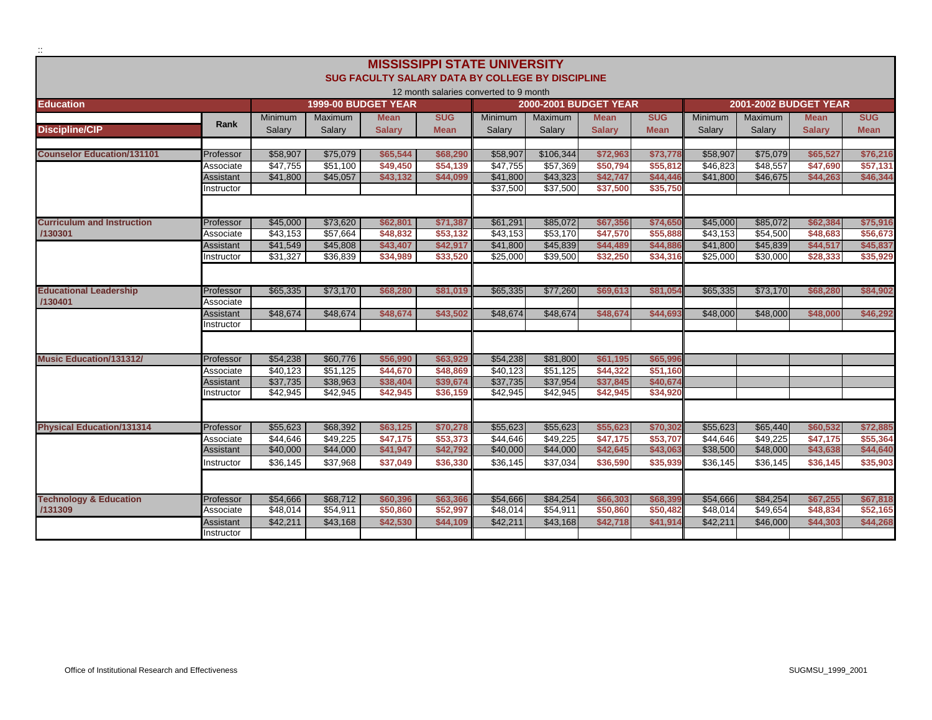|                                   |                  |                |                |                                                  |             | <b>MISSISSIPPI STATE UNIVERSITY</b>    |                              |               |             |                |                       |               |             |
|-----------------------------------|------------------|----------------|----------------|--------------------------------------------------|-------------|----------------------------------------|------------------------------|---------------|-------------|----------------|-----------------------|---------------|-------------|
|                                   |                  |                |                | SUG FACULTY SALARY DATA BY COLLEGE BY DISCIPLINE |             |                                        |                              |               |             |                |                       |               |             |
|                                   |                  |                |                |                                                  |             | 12 month salaries converted to 9 month |                              |               |             |                |                       |               |             |
| <b>Education</b>                  |                  |                |                | <b>1999-00 BUDGET YEAR</b>                       |             |                                        | <b>2000-2001 BUDGET YEAR</b> |               |             |                | 2001-2002 BUDGET YEAR |               |             |
|                                   |                  | <b>Minimum</b> | <b>Maximum</b> | <b>Mean</b>                                      | <b>SUG</b>  | <b>Minimum</b>                         | Maximum                      | <b>Mean</b>   | <b>SUG</b>  | <b>Minimum</b> | <b>Maximum</b>        | <b>Mean</b>   | <b>SUG</b>  |
| <b>Discipline/CIP</b>             | Rank             | Salarv         | Salarv         | <b>Salarv</b>                                    | <b>Mean</b> | Salary                                 | Salarv                       | <b>Salarv</b> | <b>Mean</b> | Salary         | Salarv                | <b>Salarv</b> | <b>Mean</b> |
|                                   |                  |                |                |                                                  |             |                                        |                              |               |             |                |                       |               |             |
| <b>Counselor Education/131101</b> | Professor        | \$58,907       | \$75,079       | \$65.544                                         | \$68,290    | \$58,907                               | \$106,344                    | \$72,963      | \$73,778    | \$58,907       | \$75,079              | \$65,527      | \$76,216    |
|                                   | Associate        | \$47.755       | \$51.100       | \$49,450                                         | \$54.139    | \$47,755                               | \$57,369                     | \$50,794      | \$55,812    | \$46.823       | \$48.557              | \$47,690      | \$57,131    |
|                                   | Assistant        | \$41,800       | \$45,057       | \$43,132                                         | \$44,099    | \$41,800                               | \$43,323                     | \$42,747      | \$44,446    | \$41,800       | \$46,675              | \$44,263      | \$46,344    |
|                                   | Instructor       |                |                |                                                  |             | \$37,500                               | \$37,500                     | \$37,500      | \$35,750    |                |                       |               |             |
|                                   |                  |                |                |                                                  |             |                                        |                              |               |             |                |                       |               |             |
| <b>Curriculum and Instruction</b> | Professor        | \$45,000       | \$73,620       | \$62,801                                         | \$71,387    | \$61,291                               | \$85,072                     | \$67,356      | \$74,650    | \$45,000       | \$85,072              | \$62,384      | \$75,916    |
| /130301                           | Associate        | \$43,153       | \$57,664       | \$48,832                                         | \$53,132    | \$43,153                               | \$53,170                     | \$47,570      | \$55,888    | \$43,153       | \$54,500              | \$48,683      | \$56,673    |
|                                   | Assistant        | \$41,549       | \$45,808       | \$43,407                                         | \$42,917    | \$41,800                               | \$45,839                     | \$44,489      | \$44,886    | \$41,800       | \$45,839              | \$44,517      | \$45,837    |
|                                   | Instructor       | \$31,327       | \$36,839       | \$34,989                                         | \$33,520    | \$25,000                               | \$39,500                     | \$32,250      | \$34,316    | \$25,000       | \$30,000              | \$28,333      | \$35,929    |
|                                   |                  |                |                |                                                  |             |                                        |                              |               |             |                |                       |               |             |
| <b>Educational Leadership</b>     | Professor        | \$65,335       | \$73,170       | \$68,280                                         | \$81.019    | \$65,335                               | \$77,260                     | \$69.613      | \$81,054    | \$65,335       | \$73,170              | \$68,280      | \$84,902    |
| /130401                           | Associate        |                |                |                                                  |             |                                        |                              |               |             |                |                       |               |             |
|                                   | <b>Assistant</b> | \$48,674       | \$48,674       | \$48,674                                         | \$43,502    | \$48,674                               | \$48,674                     | \$48,674      | \$44,693    | \$48,000       | \$48,000              | \$48,000      | \$46,292    |
|                                   | Instructor       |                |                |                                                  |             |                                        |                              |               |             |                |                       |               |             |
|                                   |                  |                |                |                                                  |             |                                        |                              |               |             |                |                       |               |             |
| <b>Music Education/131312/</b>    | Professor        | \$54,238       | \$60,776       | \$56,990                                         | \$63,929    | \$54,238                               | \$81,800                     | \$61,195      | \$65,996    |                |                       |               |             |
|                                   | Associate        | \$40,123       | \$51,125       | \$44,670                                         | \$48,869    | \$40,123                               | \$51,125                     | \$44,322      | \$51,160    |                |                       |               |             |
|                                   | Assistant        | \$37,735       | \$38,963       | \$38,404                                         | \$39,674    | \$37,735                               | \$37,954                     | \$37,845      | \$40,674    |                |                       |               |             |
|                                   | Instructor       | \$42,945       | \$42,945       | \$42,945                                         | \$36,159    | \$42,945                               | \$42,945                     | \$42,945      | \$34,920    |                |                       |               |             |
|                                   |                  |                |                |                                                  |             |                                        |                              |               |             |                |                       |               |             |
| <b>Physical Education/131314</b>  | Professor        | \$55.623       | \$68,392       | \$63,125                                         | \$70,278    | \$55,623                               | \$55.623                     | \$55.623      | \$70,302    | \$55,623       | \$65,440              | \$60,532      | \$72,885    |
|                                   | Associate        | \$44,646       | \$49,225       | \$47,175                                         | \$53,373    | \$44,646                               | \$49,225                     | \$47,175      | \$53,707    | \$44,646       | \$49,225              | \$47,175      | \$55,364    |
|                                   | Assistant        | \$40,000       | \$44,000       | \$41,947                                         | \$42,792    | \$40,000                               | \$44,000                     | \$42,645      | \$43,063    | \$38,500       | \$48,000              | \$43,638      | \$44,640    |
|                                   | Instructor       | \$36,145       | \$37,968       | \$37,049                                         | \$36,330    | \$36,145                               | \$37,034                     | \$36,590      | \$35,939    | \$36,145       | \$36,145              | \$36,145      | \$35,903    |
|                                   |                  |                |                |                                                  |             |                                        |                              |               |             |                |                       |               |             |
| <b>Technology &amp; Education</b> | Professor        | \$54,666       | \$68,712       | \$60,396                                         | \$63,366    | \$54,666                               | \$84,254                     | \$66,303      | \$68,399    | \$54,666       | \$84,254              | \$67,255      | \$67,818    |
| /131309                           | Associate        | \$48,014       | \$54,911       | \$50,860                                         | \$52,997    | \$48,014                               | \$54,911                     | \$50,860      | \$50,482    | \$48,014       | \$49,654              | \$48,834      | \$52,165    |
|                                   | Assistant        | \$42,211       | \$43,168       | \$42,530                                         | \$44,109    | \$42,211                               | \$43,168                     | \$42,718      | \$41,914    | \$42,211       | \$46,000              | \$44,303      | \$44,268    |
|                                   | Instructor       |                |                |                                                  |             |                                        |                              |               |             |                |                       |               |             |
|                                   |                  |                |                |                                                  |             |                                        |                              |               |             |                |                       |               |             |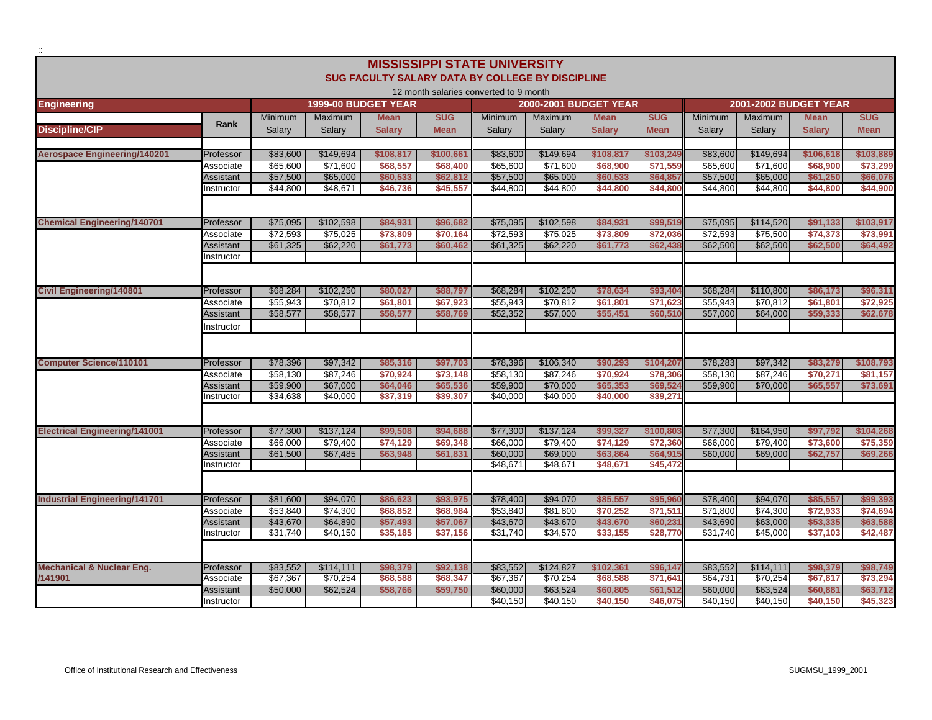|                                      |                  |                |                |                                                  |             | <b>MISSISSIPPI STATE UNIVERSITY</b>    |                |                                             |             |                |                                         |               |             |
|--------------------------------------|------------------|----------------|----------------|--------------------------------------------------|-------------|----------------------------------------|----------------|---------------------------------------------|-------------|----------------|-----------------------------------------|---------------|-------------|
|                                      |                  |                |                | SUG FACULTY SALARY DATA BY COLLEGE BY DISCIPLINE |             |                                        |                |                                             |             |                |                                         |               |             |
|                                      |                  |                |                |                                                  |             | 12 month salaries converted to 9 month |                |                                             |             |                |                                         |               |             |
| <b>Engineering</b>                   |                  | <b>Minimum</b> | <b>Maximum</b> | 1999-00 BUDGET YEAR<br><b>Mean</b>               | <b>SUG</b>  | <b>Minimum</b>                         | <b>Maximum</b> | <b>2000-2001 BUDGET YEAR</b><br><b>Mean</b> | <b>SUG</b>  | <b>Minimum</b> | <b>2001-2002 BUDGET YEAR</b><br>Maximum | <b>Mean</b>   | <b>SUG</b>  |
| <b>Discipline/CIP</b>                | Rank             | Salary         | Salary         | <b>Salary</b>                                    | <b>Mean</b> | Salary                                 | Salary         | <b>Salary</b>                               | <b>Mean</b> | Salary         | Salary                                  | <b>Salary</b> | <b>Mean</b> |
|                                      |                  |                |                |                                                  |             |                                        |                |                                             |             |                |                                         |               |             |
| <b>Aerospace Engineering/140201</b>  | Professor        | \$83,600       | \$149,694      | \$108,817                                        | \$100,661   | \$83,600                               | \$149,694      | \$108,817                                   | \$103,249   | \$83,600       | \$149,694                               | \$106,618     | \$103,889   |
|                                      | Associate        | \$65,600       | \$71,600       | \$68,557                                         | \$68,400    | \$65,600                               | \$71,600       | \$68,900                                    | \$71,559    | \$65,600       | \$71,600                                | \$68,900      | \$73,299    |
|                                      | Assistant        | \$57,500       | \$65,000       | \$60,533                                         | \$62,812    | \$57,500                               | \$65,000       | \$60,533                                    | \$64,857    | \$57,500       | \$65,000                                | \$61,250      | \$66,076    |
|                                      | Instructor       | \$44,800       | \$48,671       | \$46,736                                         | \$45,557    | \$44,800                               | \$44,800       | \$44,800                                    | \$44,800    | \$44,800       | \$44,800                                | \$44,800      | \$44,900    |
|                                      |                  |                |                |                                                  |             |                                        |                |                                             |             |                |                                         |               |             |
| <b>Chemical Engineering/140701</b>   | Professor        | \$75,095       | \$102,598      | \$84,931                                         | \$96,682    | \$75,095                               | \$102,598      | \$84,931                                    | \$99,519    | \$75,095       | \$114,520                               | \$91,133      | \$103,917   |
|                                      | Associate        | \$72,593       | \$75,025       | \$73,809                                         | \$70,164    | \$72,593                               | \$75,025       | \$73,809                                    | \$72,036    | \$72,593       | \$75,500                                | \$74,373      | \$73,991    |
|                                      | Assistant        | \$61,325       | \$62,220       | \$61,773                                         | \$60,462    | \$61,325                               | \$62,220       | \$61,773                                    | \$62,438    | \$62,500       | \$62,500                                | \$62,500      | \$64,492    |
|                                      | Instructor       |                |                |                                                  |             |                                        |                |                                             |             |                |                                         |               |             |
|                                      |                  |                |                |                                                  |             |                                        |                |                                             |             |                |                                         |               |             |
| <b>Civil Engineering/140801</b>      | Professor        | \$68,284       | \$102,250      | \$80,027                                         | \$88,797    | \$68,284                               | \$102,250      | \$78,634                                    | \$93,404    | \$68,284       | \$110,800                               | \$86,173      | \$96,311    |
|                                      | Associate        | \$55,943       | \$70,812       | \$61,801                                         | \$67,923    | \$55,943                               | \$70,812       | \$61.801                                    | \$71,623    | \$55,943       | \$70,812                                | \$61.801      | \$72,925    |
|                                      | Assistant        | \$58,577       | \$58,577       | \$58,577                                         | \$58,769    | \$52,352                               | \$57,000       | \$55,451                                    | \$60,510    | \$57,000       | \$64,000                                | \$59,333      | \$62,678    |
|                                      | Instructor       |                |                |                                                  |             |                                        |                |                                             |             |                |                                         |               |             |
|                                      |                  |                |                |                                                  |             |                                        |                |                                             |             |                |                                         |               |             |
| <b>Computer Science/110101</b>       | Professor        | \$78,396       | \$97,342       | \$85,316                                         | \$97,703    | \$78,396                               | \$106,340      | \$90,293                                    | \$104,207   | \$78,283       | \$97,342                                | \$83,279      | \$108,793   |
|                                      | Associate        | \$58,130       | \$87,246       | \$70,924                                         | \$73,148    | \$58,130                               | \$87,246       | \$70,924                                    | \$78,306    | \$58,130       | \$87,246                                | \$70,271      | \$81,157    |
|                                      | Assistant        | \$59,900       | \$67,000       | \$64,046                                         | \$65,536    | \$59,900                               | \$70,000       | \$65,353                                    | \$69,524    | \$59,900       | \$70,000                                | \$65,557      | \$73,691    |
|                                      | Instructor       | \$34,638       | \$40,000       | \$37,319                                         | \$39,307    | \$40,000                               | \$40,000       | \$40,000                                    | \$39,27'    |                |                                         |               |             |
|                                      |                  |                |                |                                                  |             |                                        |                |                                             |             |                |                                         |               |             |
| <b>Electrical Engineering/141001</b> | Professor        | \$77,300       | \$137,124      | \$99,508                                         | \$94,688    | \$77,300                               | \$137,124      | \$99,327                                    | \$100,803   | \$77,300       | \$164,950                               | \$97,792      | \$104,268   |
|                                      | Associate        | \$66,000       | \$79,400       | \$74,129                                         | \$69,348    | \$66,000                               | \$79,400       | \$74,129                                    | \$72,360    | \$66,000       | \$79,400                                | \$73,600      | \$75,359    |
|                                      | Assistant        | \$61,500       | \$67,485       | \$63,948                                         | \$61,831    | \$60,000                               | \$69,000       | \$63,864                                    | \$64,915    | \$60,000       | \$69,000                                | \$62,757      | \$69,266    |
|                                      | Instructor       |                |                |                                                  |             | \$48,671                               | \$48,671       | \$48,671                                    | \$45,472    |                |                                         |               |             |
|                                      |                  |                |                |                                                  |             |                                        |                |                                             |             |                |                                         |               |             |
| <b>Industrial Engineering/141701</b> | Professor        | \$81,600       | \$94,070       | \$86,623                                         | \$93,975    | \$78,400                               | \$94,070       | \$85,557                                    | \$95,960    | \$78,400       | \$94,070                                | \$85,557      | \$99,393    |
|                                      | Associate        | \$53,840       | \$74,300       | \$68,852                                         | \$68,984    | \$53,840                               | \$81,800       | \$70,252                                    | \$71,51'    | \$71,800       | \$74,300                                | \$72,933      | \$74,694    |
|                                      | <b>Assistant</b> | \$43,670       | \$64,890       | \$57,493                                         | \$57,067    | \$43,670                               | \$43,670       | \$43,670                                    | \$60,231    | \$43,690       | \$63,000                                | \$53,335      | \$63,588    |
|                                      | Instructor       | \$31,740       | \$40,150       | \$35,185                                         | \$37,156    | \$31,740                               | \$34,570       | \$33,155                                    | \$28,770    | \$31,740       | \$45,000                                | \$37,103      | \$42,487    |
|                                      |                  |                |                |                                                  |             |                                        |                |                                             |             |                |                                         |               |             |
| <b>Mechanical &amp; Nuclear Eng.</b> | Professor        | \$83,552       | \$114,111      | \$98,379                                         | \$92,138    | \$83,552                               | \$124,827      | \$102,361                                   | \$96,147    | \$83,552       | \$114,111                               | \$98,379      | \$98,749    |
| /141901                              | Associate        | \$67,367       | \$70,254       | \$68,588                                         | \$68,347    | \$67,367                               | \$70,254       | \$68,588                                    | \$71,641    | \$64,731       | \$70,254                                | \$67,817      | \$73,294    |
|                                      | Assistant        | \$50,000       | \$62,524       | \$58,766                                         | \$59,750    | \$60,000                               | \$63,524       | \$60,805                                    | \$61,512    | \$60,000       | \$63,524                                | \$60,881      | \$63,712    |
|                                      | Instructor       |                |                |                                                  |             | \$40,150                               | \$40,150       | \$40,150                                    | \$46,075    | \$40,150       | \$40,150                                | \$40,150      | \$45,323    |

::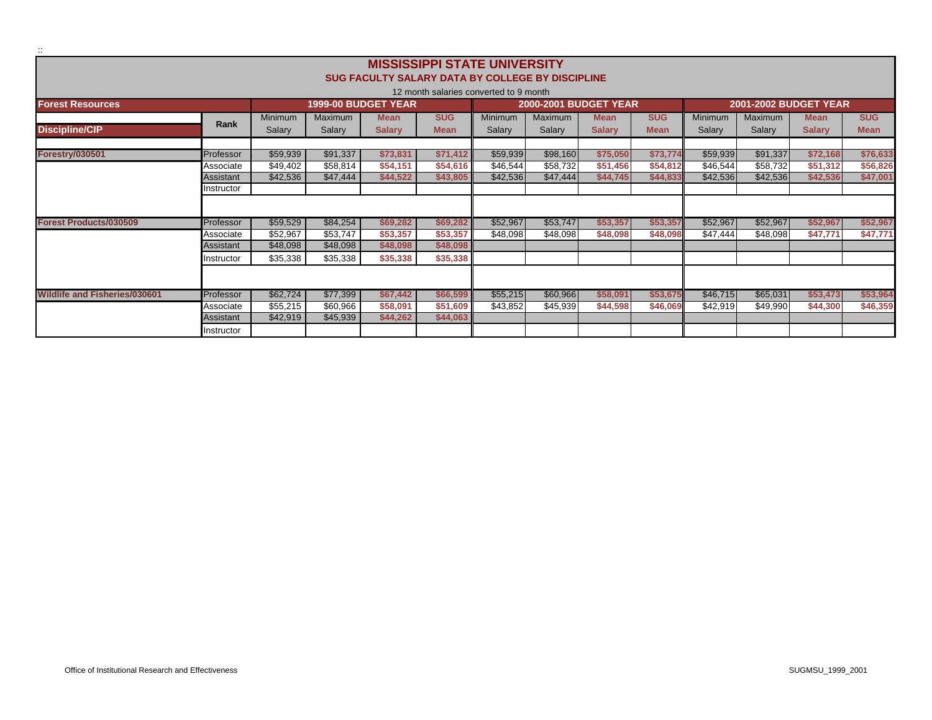|                                      |                  |                   |                   |                                                  | <b>MISSISSIPPI STATE UNIVERSITY</b>    |                   |                              |                              |                           |                          |                              |                              |                           |
|--------------------------------------|------------------|-------------------|-------------------|--------------------------------------------------|----------------------------------------|-------------------|------------------------------|------------------------------|---------------------------|--------------------------|------------------------------|------------------------------|---------------------------|
|                                      |                  |                   |                   | SUG FACULTY SALARY DATA BY COLLEGE BY DISCIPLINE |                                        |                   |                              |                              |                           |                          |                              |                              |                           |
|                                      |                  |                   |                   |                                                  | 12 month salaries converted to 9 month |                   |                              |                              |                           |                          |                              |                              |                           |
| <b>Forest Resources</b>              |                  |                   |                   | <b>1999-00 BUDGET YEAR</b>                       |                                        |                   | <b>2000-2001 BUDGET YEAR</b> |                              |                           |                          | <b>2001-2002 BUDGET YEAR</b> |                              |                           |
| <b>Discipline/CIP</b>                | Rank             | Minimum<br>Salary | Maximum<br>Salary | <b>Mean</b><br><b>Salary</b>                     | <b>SUG</b><br><b>Mean</b>              | Minimum<br>Salary | Maximum<br>Salary            | <b>Mean</b><br><b>Salary</b> | <b>SUG</b><br><b>Mean</b> | <b>Minimum</b><br>Salary | Maximum<br>Salary            | <b>Mean</b><br><b>Salary</b> | <b>SUG</b><br><b>Mean</b> |
|                                      |                  |                   |                   |                                                  |                                        |                   |                              |                              |                           |                          |                              |                              |                           |
| <b>Forestry/030501</b>               | Professor        | \$59,939          | \$91,337          | \$73,831                                         | \$71.412                               | \$59,939          | \$98,160                     | \$75,050                     | \$73,774                  | \$59,939                 | \$91,337                     | \$72,168                     | \$76,633                  |
|                                      | Associate        | \$49,402          | \$58,814          | \$54,151                                         | \$54,616                               | \$46,544          | \$58,732                     | \$51,456                     | \$54,812                  | \$46,544                 | \$58,732                     | \$51,312                     | \$56,826                  |
|                                      | Assistant        | \$42,536          | \$47,444          | \$44,522                                         | \$43,805                               | \$42,536          | \$47,444                     | \$44,745                     | \$44,833                  | \$42,536                 | \$42,536                     | \$42,536                     | \$47,001                  |
|                                      | Instructor       |                   |                   |                                                  |                                        |                   |                              |                              |                           |                          |                              |                              |                           |
|                                      |                  |                   |                   |                                                  |                                        |                   |                              |                              |                           |                          |                              |                              |                           |
| <b>Forest Products/030509</b>        | Professor        | \$59,529          | \$84,254          | \$69,282                                         | \$69,282                               | \$52,967          | \$53.747                     | \$53,357                     | \$53,357                  | \$52,967                 | \$52,967                     | \$52,967                     | \$52,967                  |
|                                      | Associate        | \$52,967          | \$53,747          | \$53,357                                         | \$53,357                               | \$48,098          | \$48,098                     | \$48,098                     | \$48,098                  | \$47,444                 | \$48,098                     | \$47,771                     | \$47,771                  |
|                                      | Assistant        | \$48,098          | \$48,098          | \$48,098                                         | \$48,098                               |                   |                              |                              |                           |                          |                              |                              |                           |
|                                      | Instructor       | \$35,338          | \$35,338          | \$35,338                                         | \$35,338                               |                   |                              |                              |                           |                          |                              |                              |                           |
|                                      |                  |                   |                   |                                                  |                                        |                   |                              |                              |                           |                          |                              |                              |                           |
| <b>Wildlife and Fisheries/030601</b> | Professor        | \$62,724          | \$77,399          | \$67.442                                         | \$66,599                               | \$55,215          | \$60.966                     | \$58,091                     | \$53,675                  | \$46,715                 | \$65,031                     | \$53,473                     | \$53,964                  |
|                                      | Associate        | \$55,215          | \$60,966          | \$58,091                                         | \$51,609                               | \$43,852          | \$45,939                     | \$44,598                     | \$46,069                  | \$42,919                 | \$49,990                     | \$44,300                     | \$46,359                  |
|                                      | <b>Assistant</b> | \$42,919          | \$45,939          | \$44,262                                         | \$44,063                               |                   |                              |                              |                           |                          |                              |                              |                           |
|                                      | Instructor       |                   |                   |                                                  |                                        |                   |                              |                              |                           |                          |                              |                              |                           |